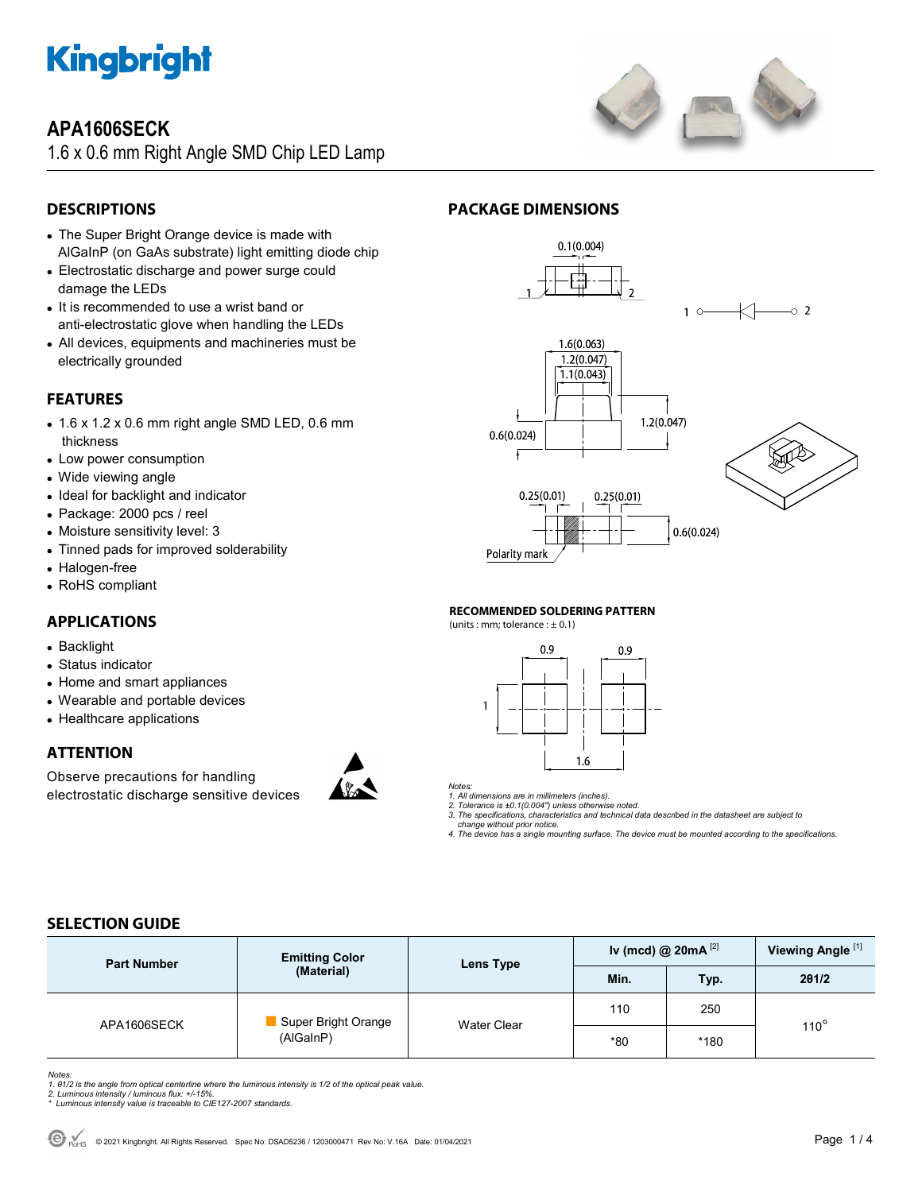

## **APA1606SECK**

1.6 x 0.6 mm Right Angle SMD Chip LED Lamp



### **DESCRIPTIONS**

- The Super Bright Orange device is made with AlGaInP (on GaAs substrate) light emitting diode chip
- Electrostatic discharge and power surge could damage the LEDs
- It is recommended to use a wrist band or anti-electrostatic glove when handling the LEDs
- All devices, equipments and machineries must be electrically grounded

### **FEATURES**

- 1.6 x 1.2 x 0.6 mm right angle SMD LED, 0.6 mm thickness
- Low power consumption
- Wide viewing angle
- Ideal for backlight and indicator
- Package: 2000 pcs / reel
- Moisture sensitivity level: 3
- Tinned pads for improved solderability
- Halogen-free
- RoHS compliant

#### **APPLICATIONS**

- Backlight
- Status indicator
- Home and smart appliances
- Wearable and portable devices
- Healthcare applications

#### **ATTENTION**

Observe precautions for handling electrostatic discharge sensitive devices



#### **PACKAGE DIMENSIONS**



#### **RECOMMENDED SOLDERING PATTERN**

(units : mm; tolerance :  $\pm$  0.1)



*Notes:* 

*1. All dimensions are in millimeters (inches). 2. Tolerance is ±0.1(0.004") unless otherwise noted.* 

*3. The specifications, characteristics and technical data described in the datasheet are subject to* 

 *change without prior notice.* 

*4. The device has a single mounting surface. The device must be mounted according to the specifications.* 

### **SELECTION GUIDE**

| <b>Part Number</b> | <b>Emitting Color</b><br>(Material) | Lens Type   | Iv (mcd) @ $20mA$ <sup>[2]</sup> |      | Viewing Angle <sup>[1]</sup> |
|--------------------|-------------------------------------|-------------|----------------------------------|------|------------------------------|
|                    |                                     |             | Min.                             | Typ. | 201/2                        |
| APA1606SECK        | Super Bright Orange<br>(AlGaInP)    | Water Clear | 110                              | 250  | $110^\circ$                  |
|                    |                                     |             | $*80$                            | *180 |                              |

Notes:<br>1. 61/2 is the angle from optical centerline where the luminous intensity is 1/2 of the optical peak value.<br>2. Luminous intensity / luminous flux: +/-15%.<br>\* Luminous intensity value is traceable to CIE127-2007 stand

- 
-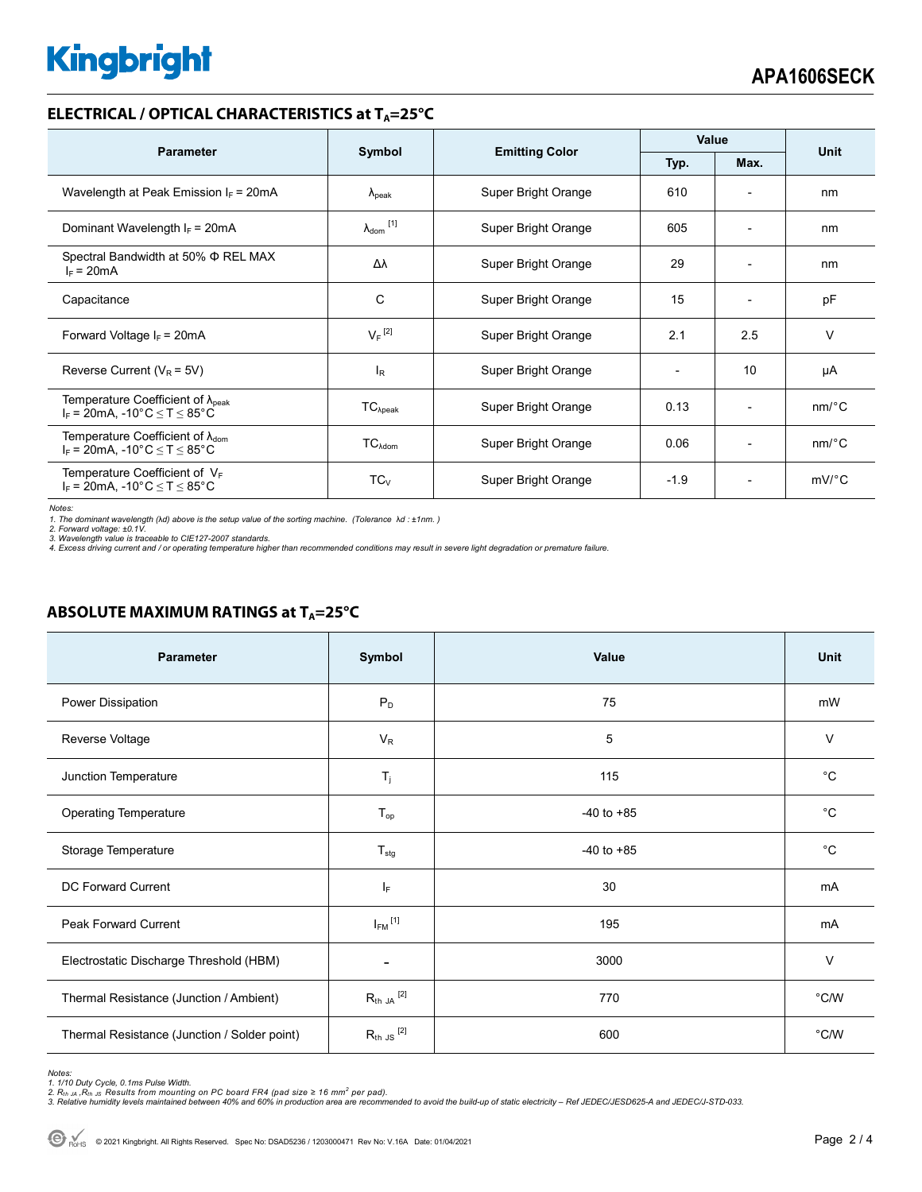# **Kingbright**

#### **ELECTRICAL / OPTICAL CHARACTERISTICS at T<sub>A</sub>=25°C**

| <b>Parameter</b>                                                                              |                              | <b>Emitting Color</b> | Value        |                              | <b>Unit</b>           |
|-----------------------------------------------------------------------------------------------|------------------------------|-----------------------|--------------|------------------------------|-----------------------|
|                                                                                               | Symbol                       |                       | Typ.<br>Max. |                              |                       |
| Wavelength at Peak Emission $I_F$ = 20mA                                                      | $\lambda_{\rm peak}$         | Super Bright Orange   | 610          | $\overline{\phantom{0}}$     | nm                    |
| Dominant Wavelength $I_F = 20mA$                                                              | $\lambda_{\mathsf{dom}}$ [1] | Super Bright Orange   | 605          | $\overline{\phantom{0}}$     | nm                    |
| Spectral Bandwidth at 50% Φ REL MAX<br>$I_F = 20mA$                                           | Δλ                           | Super Bright Orange   | 29           | $\overline{\phantom{0}}$     | nm                    |
| Capacitance                                                                                   | С                            | Super Bright Orange   | 15           | $\qquad \qquad \blacksquare$ | pF                    |
| Forward Voltage $I_F$ = 20mA                                                                  | $V_F$ <sup>[2]</sup>         | Super Bright Orange   | 2.1          | 2.5                          | $\vee$                |
| Reverse Current ( $V_R$ = 5V)                                                                 | l <sub>R</sub>               | Super Bright Orange   |              | 10                           | μA                    |
| Temperature Coefficient of $\lambda_{\text{peak}}$<br>$I_F$ = 20mA, -10°C $\leq T \leq 85$ °C | $TC_{\lambda peak}$          | Super Bright Orange   | 0.13         | $\qquad \qquad \blacksquare$ | $nm$ /°C              |
| Temperature Coefficient of $\lambda_{\text{dom}}$<br>$I_F$ = 20mA, -10°C $\le T \le 85$ °C    | $TC_{\lambda dom}$           | Super Bright Orange   | 0.06         | $\overline{\phantom{0}}$     | $nm$ <sup>o</sup> $C$ |
| Temperature Coefficient of $V_F$<br>$I_F$ = 20mA, -10°C $\leq T \leq 85$ °C                   | $TC_{V}$                     | Super Bright Orange   | $-1.9$       | $\overline{\phantom{0}}$     | $mV$ °C               |

*Notes:* 

*1. The dominant wavelength (*λ*d) above is the setup value of the sorting machine. (Tolerance* λ*d : ±1nm. ) 2. Forward voltage: ±0.1V.* 

3. Wavelength value is traceable to CIE127-2007 standards.<br>4. Excess driving current and / or operating temperature higher than recommended conditions may result in severe light degradation or premature failure.

#### **ABSOLUTE MAXIMUM RATINGS at T<sub>A</sub>=25°C**

| <b>Parameter</b>                             | Symbol                      | Value          | <b>Unit</b>   |
|----------------------------------------------|-----------------------------|----------------|---------------|
| Power Dissipation                            | $P_D$                       | 75             | mW            |
| Reverse Voltage                              | $V_R$                       | 5              | $\vee$        |
| Junction Temperature                         | $T_{j}$                     | 115            | $^{\circ}C$   |
| <b>Operating Temperature</b>                 | $T_{op}$                    | $-40$ to $+85$ | $^{\circ}C$   |
| Storage Temperature                          | $T_{\text{stg}}$            | $-40$ to $+85$ | $^{\circ}C$   |
| <b>DC Forward Current</b>                    | ΙF                          | 30             | mA            |
| <b>Peak Forward Current</b>                  | $I_{FM}$ <sup>[1]</sup>     | 195            | mA            |
| Electrostatic Discharge Threshold (HBM)      | -                           | 3000           | $\vee$        |
| Thermal Resistance (Junction / Ambient)      | $R_{\text{th JA}}$ $^{[2]}$ | 770            | $\degree$ C/W |
| Thermal Resistance (Junction / Solder point) | $R_{th}$ JS $^{[2]}$        | 600            | $\degree$ C/W |

Notes:<br>1. 1/10 Duty Cycle, 0.1ms Pulse Width.<br>2. R<sub>th JA</sub> ,R<sub>th JS</sub> Results from mounting on PC board FR4 (pad size ≥ 16 mm<sup>2</sup> per pad).<br>3. Relative humidity levels maintained between 40% and 60% in production area are re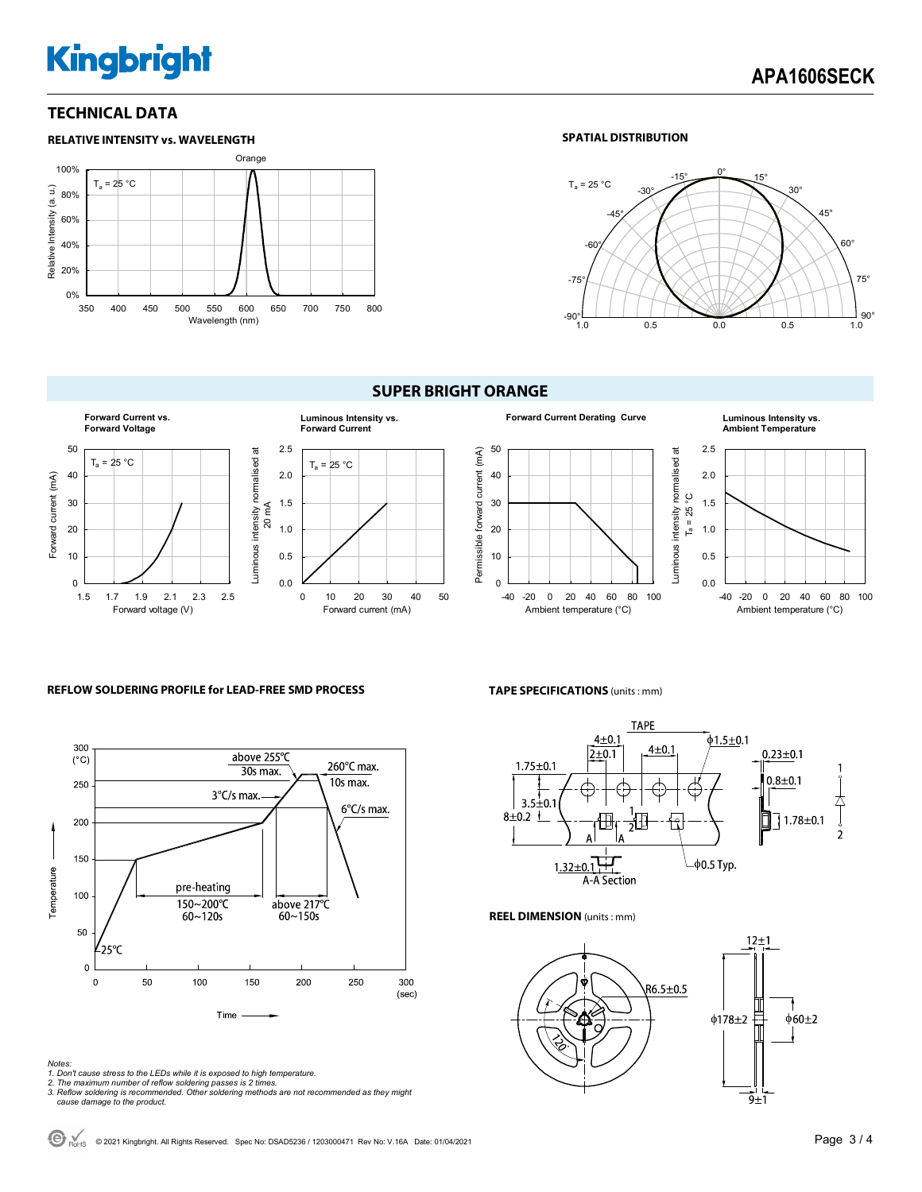# **Kingbright**

#### **TECHNICAL DATA**



#### **SPATIAL DISTRIBUTION**



#### **Forward Current vs. Luminous Intensity vs. Forward Voltage Forward Current** 50 2.5 Luminous intensity normalised at Luminous intensity normalised at  $T_a = 25 °C$  $T_a = 25 °C$ Forward current (mA) 2.0 40 Forward current (mA) 30 1.5 20 mA 20 1.0 10 0.5 0 0.0 1.5 1.7 1.9 2.1 2.3 2.5 0 10 20 30 40 50 Forward voltage (V) Forward current (mA)

#### **SUPER BRIGHT ORANGE**



#### **Forward Current Derating Curve Luminous Intensity vs. Ambient Temperature**



#### **REFLOW SOLDERING PROFILE for LEAD-FREE SMD PROCESS**



### **TAPE SPECIFICATIONS** (units : mm)



#### **REEL DIMENSION** (units : mm)



#### *Notes:*

- *1. Don't cause stress to the LEDs while it is exposed to high temperature.*
- *2. The maximum number of reflow soldering passes is 2 times. 3. Reflow soldering is recommended. Other soldering methods are not recommended as they might*
- *cause damage to the product.*